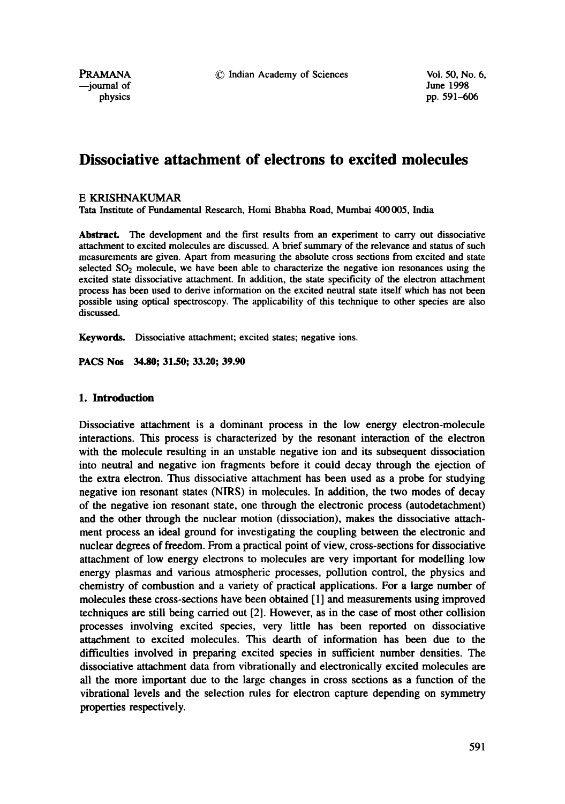PRAMANA **C** Indian Academy of Sciences Vol. 50, No. 6,<br>
—iournal of June 1998

--journal of June 1998

physics pp. 591-606

# **Dissociative attachment of electrons to excited molecules**

# E KRISHNAKUMAR

Tata Institute of Fundamental Research, Homi Bhabha Road, Mumbai 400 005, India

Abstract. The development and the first results from an experiment to carry out dissociative attachment to excited molecules are discussed. A brief summary of the relevance and status of such measurements are given. Apart from measuring the absolute cross sections from excited and state selected  $SO<sub>2</sub>$  molecule, we have been able to characterize the negative ion resonances using the excited state dissociative attachment. In addition, the state specificity of the electron attachment process has been used to derive information on the excited neutral state itself which has not been possible using optical spectroscopy. The applicability of this technique to other species are also discussed.

Keywords. Dissociative attachment; excited states; negative ions.

**PACS Nos 34.80; 31.50; 33.20; 39.90** 

# **1. Introduction**

Dissociative attachment is a dominant process in the low energy electron-molecule interactions. This process is characterized by the resonant interaction of the electron with the molecule resulting in an unstable negative ion and its subsequent dissociation into neutral and negative ion fragments before it could decay through the ejection of the extra electron. Thus dissociative attachment has been used as a probe for studying negative ion resonant states (NIRS) in molecules. In addition, the two modes of decay of the negative ion resonant state, one through the electronic process (autodetachment) and the other through the nuclear motion (dissociation), makes the dissociative attachment process an ideal ground for investigating the coupling between the electronic and nuclear degrees of freedom. From a practical point of view, cross-sections for dissociative attachment of low energy electrons to molecules are very important for modelling low energy plasmas and various atmospheric processes, pollution control, the physics and chemistry of combustion and a variety of practical applications. For a large number of molecules these cross-sections have been obtained [1] and measurements using improved techniques are still being carried out [2]. However, as in the case of most other collision processes involving excited species, very little has been reported on dissociative attachment to excited molecules. This dearth of information has been due to the difficulties involved in preparing excited species in sufficient number densities. The dissociative attachment data from vibrationally and electronically excited molecules are all the more important due to the large changes in cross sections as a function of the vibrational levels and the selection rules for electron capture depending on symmetry properties respectively.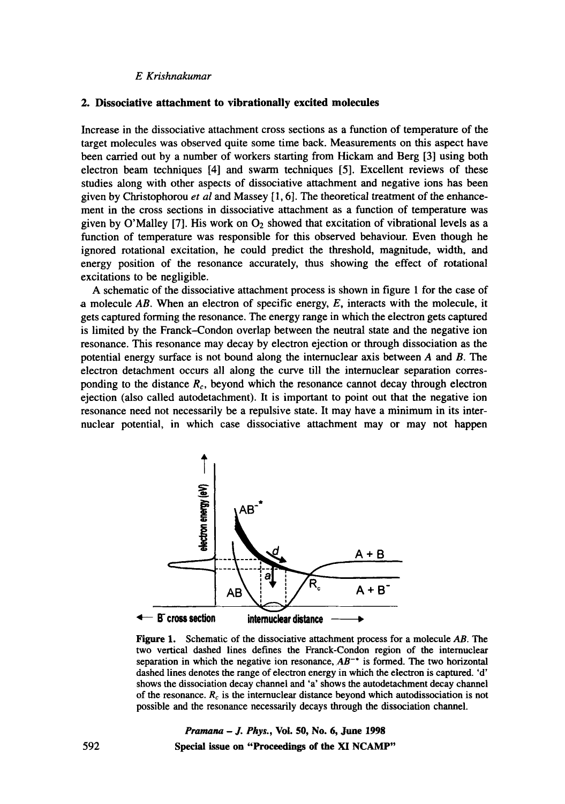## **2. Dissociative attachment to vibrationally excited molecules**

Increase in the dissociative attachment cross sections as a function of temperature of the target molecules was observed quite some time back. Measurements on this aspect have been carried out by a number of workers starting from Hickam and Berg [3] using both electron beam techniques [4] and swarm techniques [5]. Excellent reviews of these studies along with other aspects of dissociative attachment and negative ions has been given by Christophorou *et al* and Massey [1, 6]. The theoretical treatment of the enhancement in the cross sections in dissociative attachment as a function of temperature was given by O'Malley [7]. His work on  $O_2$  showed that excitation of vibrational levels as a function of temperature was responsible for this observed behaviour. Even though he ignored rotational excitation, he could predict the threshold, magnitude, width, and energy position of the resonance accurately, thus showing the effect of rotational excitations to be negligible.

A schematic of the dissociative attachment process is shown in figure 1 for the case of a molecule *AB.* When an electron of specific energy, E, interacts with the molecule, **it**  gets captured forming the resonance. The energy range in which the electron gets captured is limited by the Franck-Condon overlap between the neutral state and the negative ion resonance. This resonance may decay by electron ejection or through dissociation as the potential energy surface is not bound along the internuclear axis between A and B. The electron detachment occurs all along the curve till the internuclear separation corresponding to the distance *Rc,* beyond which the resonance cannot decay through electron ejection (also called autodetachment). It is important to point out that the negative ion resonance need not necessarily be a repulsive state. It may have a minimum in its internuclear potential, in which case dissociative attachment may or may not happen



Figure 1. Schematic of the dissociative attachment process for a molecule *AB. The*  two vertical dashed lines defines the Franck-Condon region of the internuclear separation in which the negative ion resonance, *AB-\** is formed. The two horizontal dashed lines denotes the range of electron energy in which the electron is captured. 'd' shows the dissociation decay channel and 'a' shows the autodetachment decay channel of the resonance.  $R_c$  is the internuclear distance beyond which autodissociation is not possible and the resonance necessarily decays through the dissociation channel.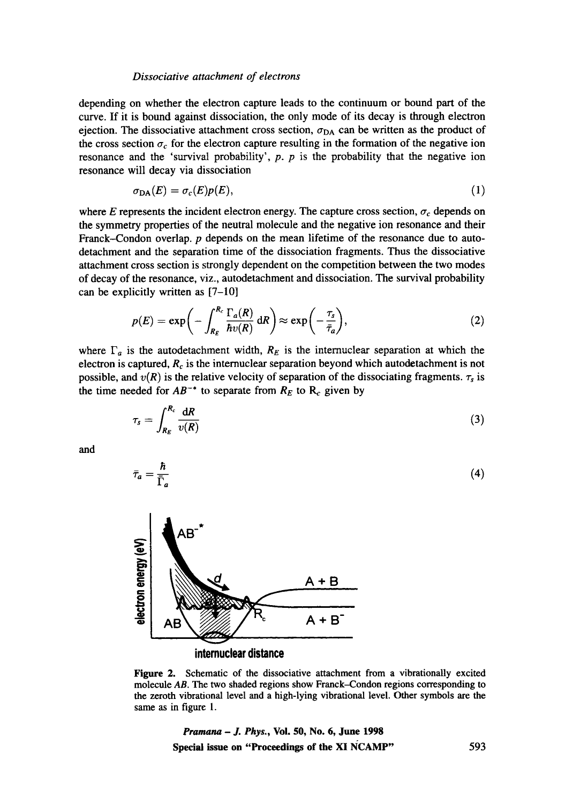depending on whether the electron capture leads to the continuum or bound part of the curve. If it is bound against dissociation, the only mode of its decay is through electron ejection. The dissociative attachment cross section,  $\sigma_{DA}$  can be written as the product of the cross section  $\sigma_c$  for the electron capture resulting in the formation of the negative ion resonance and the 'survival probability',  $p$ .  $p$  is the probability that the negative ion resonance will decay via dissociation

$$
\sigma_{DA}(E) = \sigma_c(E)p(E),\tag{1}
$$

where E represents the incident electron energy. The capture cross section,  $\sigma_c$  depends on the symmetry properties of the neutral molecule and the negative ion resonance and their Franck-Condon overlap, p depends on the mean lifetime of the resonance due to autodetachment and the separation time of the dissociation fragments. Thus the dissociative attachment cross section is strongly dependent on the competition between the two modes of decay of the resonance, viz., autodetachment and dissociation. The survival probability can be explicitly written as  $[7-10]$ 

$$
p(E) = \exp\bigg(-\int_{R_E}^{R_c} \frac{\Gamma_a(R)}{\hbar v(R)} dR\bigg) \approx \exp\bigg(-\frac{\tau_s}{\bar{\tau}_a}\bigg),\tag{2}
$$

where  $\Gamma_a$  is the autodetachment width,  $R_E$  is the internuclear separation at which the electron is captured,  $R_c$  is the internuclear separation beyond which autodetachment is not possible, and  $v(R)$  is the relative velocity of separation of the dissociating fragments.  $\tau_s$  is the time needed for  $AB^{-*}$  to separate from  $R_E$  to  $R_c$  given by

$$
\tau_s = \int_{R_E}^{R_c} \frac{\mathrm{d}R}{v(R)}\tag{3}
$$

and

$$
\bar{\tau}_a = \frac{\hbar}{\bar{\Gamma}_a} \tag{4}
$$



Figure 2. Schematic of the dissociative attachment from a vibrationally excited molecule *AB. The two* shaded regions show Franck-Condon regions corresponding to the zeroth vibrational level and a high-lying vibrational level. Other symbols are the same as in figure 1.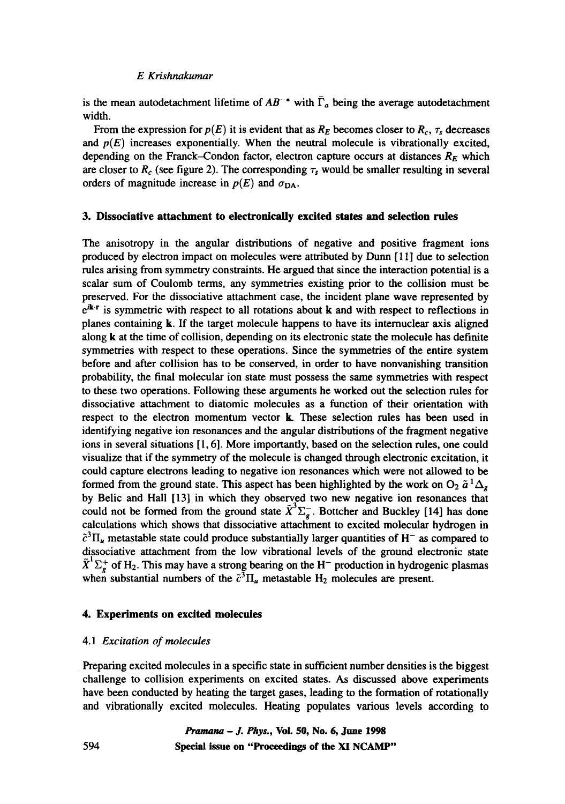is the mean autodetachment lifetime of  $AB^{-*}$  with  $\Gamma_a$  being the average autodetachment width.

From the expression for  $p(E)$  it is evident that as  $R_E$  becomes closer to  $R_c$ ,  $\tau_s$  decreases and  $p(E)$  increases exponentially. When the neutral molecule is vibrationally excited, depending on the Franck-Condon factor, electron capture occurs at distances  $R_E$  which are closer to  $R_c$  (see figure 2). The corresponding  $\tau_s$  would be smaller resulting in several orders of magnitude increase in  $p(E)$  and  $\sigma_{DA}$ .

## **3. Dissociative attachment to electronically excited states and selection rules**

The anisotropy in the angular distributions of negative and positive fragment ions produced by electron impact on molecules were attributed by Dunn [11] due to selection rules arising from symmetry constraints. He argued that since the interaction potential is a scalar sum of Coulomb terms, any symmetries existing prior to the collision must be preserved. For the dissociative attachment case, the incident plane wave represented by  $e^{i\mathbf{k} \cdot \mathbf{r}}$  is symmetric with respect to all rotations about **k** and with respect to reflections in planes containing k. If the target molecule happens to have its internuclear axis aligned along k at the time of collision, depending on its electronic state the molecule has definite symmetries with respect to these operations. Since the symmetries of the entire system before and after collision has to be conserved, in order to have nonvanishing transition probability, the final molecular ion state must possess the same symmetries with respect to these two operations. Following these arguments he worked out the selection rules for dissociative attachment to diatomic molecules as a function of their orientation with respect to the electron momentum vector k These selection rules has been used in identifying negative ion resonances and the angular distributions of the fragment negative ions in several situations [1, 6]. More importantly, based on the selection rules, one could visualize that if the symmetry of the molecule is changed through electronic excitation, it could capture electrons leading to negative ion resonances which were not allowed to be formed from the ground state. This aspect has been highlighted by the work on  $O_2 \tilde{a}^1 \Delta_{\ell}$ by Belic and Hall [13] in which they observed two new negative ion resonances that could not be formed from the ground state  $\tilde{X}^3\Sigma_{\sigma}^-$ . Bottcher and Buckley [14] has done calculations which shows that dissociative attachment to excited molecular hydrogen in  $\tilde{c}^3\Pi_{\mu}$  metastable state could produce substantially larger quantities of H<sup>-</sup> as compared to dissociative attachment from the low vibrational levels of the ground electronic state  $\tilde{X}^1 \Sigma^+_{e}$  of H<sub>2</sub>. This may have a strong bearing on the H<sup>-</sup> production in hydrogenic plasmas when substantial numbers of the  $\tilde{c}^3\Pi_u$  metastable H<sub>2</sub> molecules are present.

# **4. Experiments on excited molecules**

## *4.1 Excitation of molecules*

Preparing excited molecules in a specific state in sufficient number densities is the biggest challenge to collision experiments on excited states. As discussed above experiments have been conducted by heating the target gases, leading to the formation of rotationally and vibrationally excited molecules. Heating populates various levels according to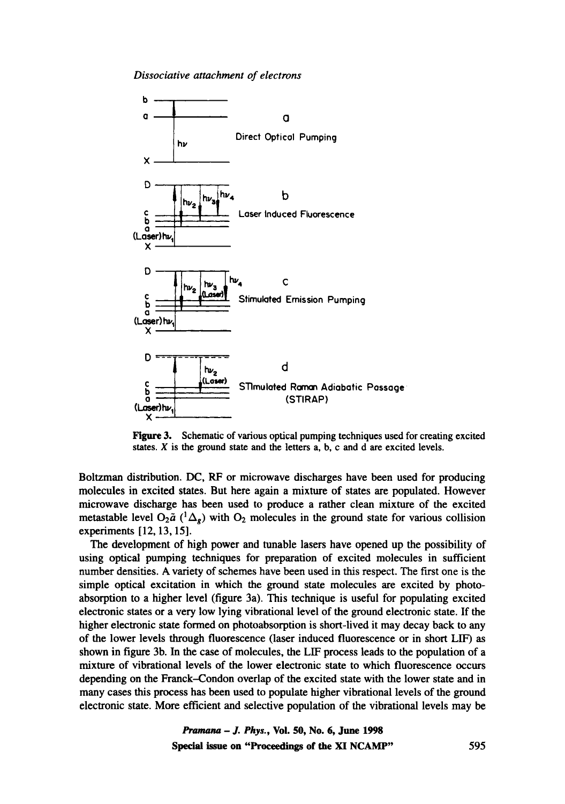

Figure 3. Schematic of various optical pumping techniques used for creating excited states. X is the ground state and the letters a, b, c and d are excited levels.

Boltzman distribution. DC, RF or microwave discharges have been used for producing molecules in excited states. But here again a mixture of states are populated. However microwave discharge has been used to produce a rather clean mixture of the excited metastable level  $O_2\tilde{a}$  ( ${}^1\Delta_g$ ) with  $O_2$  molecules in the ground state for various collision experiments [12, 13, 15].

The development of high power and tunable lasers have opened up the possibility of using optical pumping techniques for preparation of excited molecules in sufficient number densities. A variety of schemes have been used in this respect. The first one is the simple optical excitation in which the ground state molecules are excited by photoabsorption to a higher level (figure 3a). This technique is useful for populating excited electronic states or a very low lying vibrational level of the ground electronic state. If the higher electronic state formed on photoabsorption is short-lived it may decay back to any of the lower levels through fluorescence (laser induced fluorescence or in short LIF) as shown in figure 3b. In the case of molecules, the LIF process leads to the population of a mixture of vibrational levels of the lower electronic state to which fluorescence occurs depending on the Franck-Condon overlap of the excited state with the lower state and in many cases this process has been used to populate higher vibrational levels of the ground electronic state. More efficient and selective population of the vibrational levels may be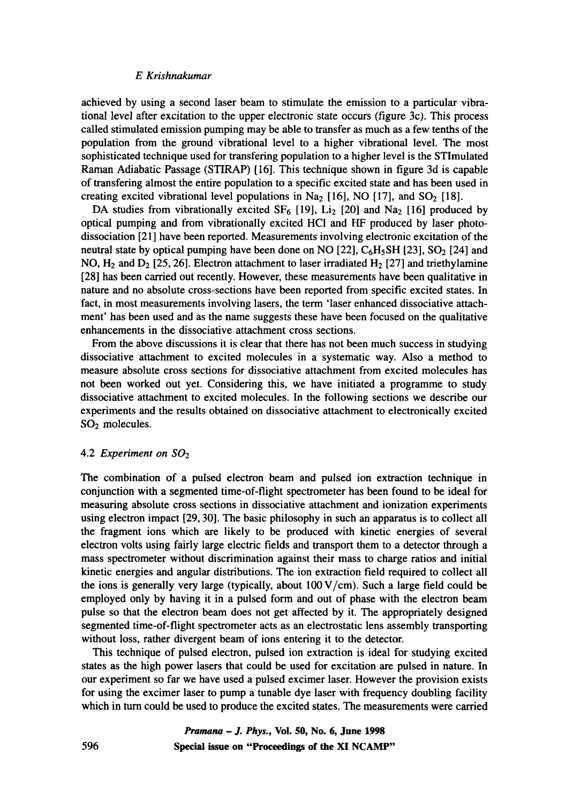achieved by using a second laser beam to stimulate the emission to a particular vibrational level after excitation to the upper electronic state occurs (figure 3c). This process called stimulated emission pumping may be able to transfer as much as a few tenths of the population from the ground vibrational level to a higher vibrational level. The most sophisticated technique used for transfering population to a higher level is the STimulated Raman Adiabatic Passage (STIRAP) [16]. This technique shown in figure 3d is capable of transfering almost the entire population to a specific excited state and has been used in creating excited vibrational level populations in  $Na<sub>2</sub>$  [16], NO [17], and SO<sub>2</sub> [18].

DA studies from vibrationally excited  $SF_6$  [19], Li<sub>2</sub> [20] and Na<sub>2</sub> [16] produced by optical pumping and from vibrationally excited HCI and HF produced by laser photodissociation [21] have been reported. Measurements involving electronic excitation of the neutral state by optical pumping have been done on NO  $[22]$ ,  $C_6H_5SH$   $[23]$ ,  $SO_2$   $[24]$  and NO,  $H_2$  and  $D_2$  [25, 26]. Electron attachment to laser irradiated  $H_2$  [27] and triethylamine [28] has been carried out recently. However, these measurements have been qualitative in nature and no absolute cross-sections have been reported from specific excited states. In fact, in most measurements involving lasers, the term 'laser enhanced dissociative attachment' has been used and as the name suggests these have been focused on the qualitative enhancements in the dissociative attachment cross sections.

From the above discussions it is clear that there has not been much success in studying dissociative attachment to excited molecules in a systematic way. Also a method to measure absolute cross sections for dissociative attachment from excited molecules has not been worked out yet. Considering this, we have initiated a programme to study dissociative attachment to excited molecules. In the following sections we describe our experiments and the results obtained on dissociative attachment to electronically excited  $SO<sub>2</sub>$  molecules.

# 4.2 *Experiment on S02*

The combination of a pulsed electron beam and pulsed ion extraction technique in conjunction with a segmented time-of-flight spectrometer has been found to be ideal for measuring absolute cross sections in dissociative attachment and ionization experiments using electron impact [29, 30]. The basic philosophy in such an apparatus is to collect all the fragment ions which are likely to be produced with kinetic energies of several electron volts using fairly large electric fields and transport them to a detector through a mass spectrometer without discrimination against their mass to charge ratios and initial kinetic energies and angular distributions. The ion extraction field required to collect all the ions is generally very large (typically, about  $100 \text{ V/cm}$ ). Such a large field could be employed only by having it in a pulsed form and out of phase with the electron beam pulse so that the electron beam does not get affected by it. The appropriately designed segmented time-of-flight spectrometer acts as an electrostatic lens assembly transporting without loss, rather divergent beam of ions entering it to the detector.

This technique of pulsed electron, pulsed ion extraction is ideal for studying excited states as the high power lasers that could be used for excitation are pulsed in nature. In our experiment so far we have used a pulsed excimer laser. However the provision exists for using the excimer laser to pump a tunable dye laser with frequency doubling facility which in turn could be used to produce the excited states. The measurements were carried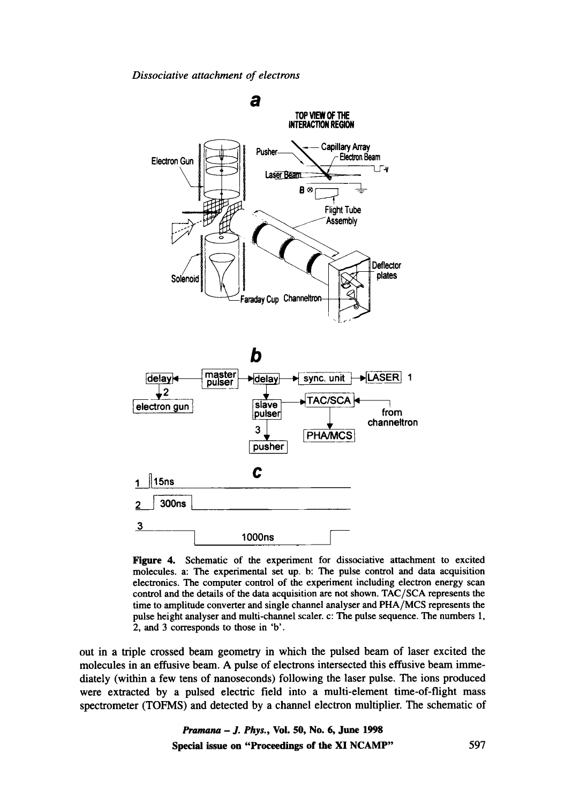

Figure 4. Schematic of the experiment for dissociative attachment to excited molecules, a: The experimental set up. b: The pulse control and data acquisition electronics. The computer control of the experiment including electron energy scan control and the details of the data acquisition are not shown. TAC/SCA represents the time to amplitude converter and single channel analyser and PHA/MCS represents the pulse height analyser and multi-channel scaler, c: The pulse sequence. The numbers 1, 2, and 3 corresponds to those in 'b'.

out in a triple crossed beam geometry in which the pulsed beam of laser excited the molecules in an effusive beam. A pulse of electrons intersected this effusive beam immediately (within a few tens of nanoseconds) following the laser pulse. The ions produced were extracted by a pulsed electric field into a multi-element time-of-flight mass spectrometer (TOFMS) and detected by a channel electron multiplier. The schematic of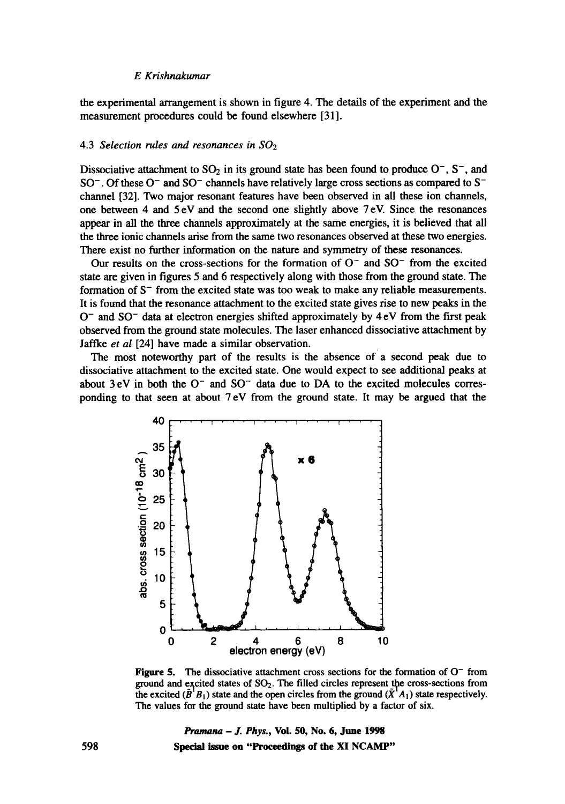the experimental arrangement is shown in figure 4. The details of the experiment and the measurement procedures could be found elsewhere [31].

#### 4.3 *Selection rules and resonances in SO2*

Dissociative attachment to  $SO_2$  in its ground state has been found to produce  $O^-$ ,  $S^-$ , and SO<sup>-</sup>. Of these O<sup>-</sup> and SO<sup>-</sup> channels have relatively large cross sections as compared to S<sup>-</sup> channel [32]. Two major resonant features have been observed in all these ion channels, one between 4 and 5 eV and the second one slightly above 7 eV. Since the resonances appear in all the three channels approximately at the same energies, it is believed that all the three ionic channels arise from the same two resonances observed at these two energies. There exist no further information on the nature and symmetry of these resonances.

Our results on the cross-sections for the formation of  $O^-$  and  $SO^-$  from the excited state are given in figures 5 and 6 respectively along with those from the ground state. The formation of  $S^-$  from the excited state was too weak to make any reliable measurements. It is found that the resonance attachment to the excited state gives rise to new peaks in the  $O^-$  and  $SO^-$  data at electron energies shifted approximately by  $4 \text{ eV}$  from the first peak observed from the ground state molecules. The laser enhanced dissociative attachment by Jaffke *et al* [24] have made a similar observation.

The most noteworthy part of the results is the absence of a second peak due to dissociative attachment to the excited state. One would expect to see additional peaks at about  $3 \text{ eV}$  in both the  $O^-$  and  $SO^-$  data due to DA to the excited molecules corresponding to that seen at about 7 eV from the ground state. It may be argued that the



Figure 5. The dissociative attachment cross sections for the formation of  $O^-$  from ground and excited states of  $SO_2$ . The filled circles represent the cross-sections from the excited  $(\tilde{B}^T B_1)$  state and the open circles from the ground  $(\tilde{X}^T A_1)$  state respectively. The values for the ground state have been multiplied by a factor of six.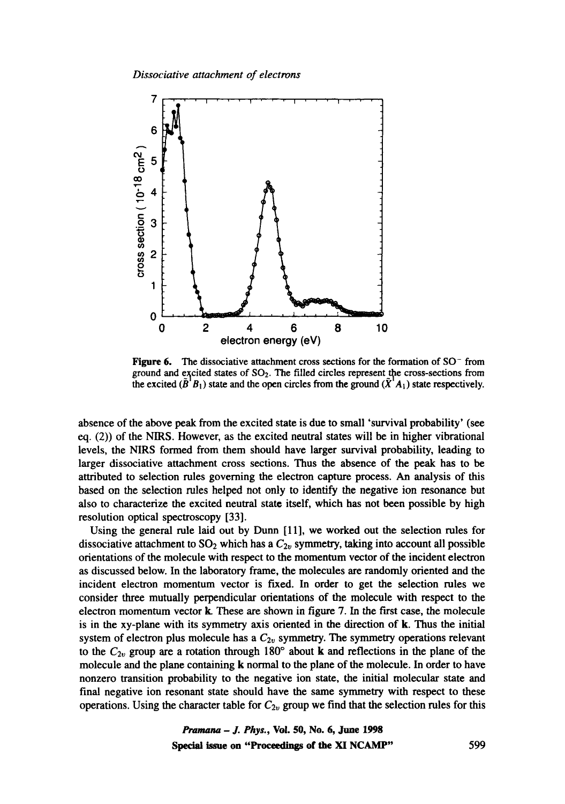

Figure 6. The dissociative attachment cross sections for the formation of  $SO^-$  from ground and excited states of SO<sub>2</sub>. The filled circles represent the cross-sections from the excited  $(\tilde{B}^T B_I)$  state and the open circles from the ground  $(\tilde{X}^T A_I)$  state respectively.

absence of the above peak from the excited state is due to small 'survival probability' (see eq. (2)) of the NIRS. However, as the excited neutral states will be in higher vibrational levels, the NIRS formed from them should have larger survival probability, leading to larger dissociative attachment cross sections. Thus the absence of the peak has to be attributed to selection rules governing the electron capture process. An analysis of this based on the selection rules helped not only to identify the negative ion resonance but also to characterize the excited neutral state itself, which has not been possible by high resolution optical spectroscopy [33].

Using the general rule laid out by Dunn [11], we worked out the selection rules for dissociative attachment to  $SO_2$  which has a  $C_{2v}$  symmetry, taking into account all possible orientations of the molecule with respect to the momentum vector of the incident electron as discussed below. In the laboratory frame, the molecules are randomly oriented and the incident electron momentum vector is fixed. In order to get the selection rules we consider three mutually perpendicular orientations of the molecule with respect to the electron momentum vector k These are shown in figure 7. In the first case, the molecule is in the xy-plane with its symmetry axis oriented in the direction of k. Thus the initial system of electron plus molecule has a  $C_{2v}$  symmetry. The symmetry operations relevant to the  $C_{2v}$  group are a rotation through 180° about k and reflections in the plane of the molecule and the plane containing k normal to the plane of the molecule. In order to have nonzero transition probability to the negative ion state, the initial molecular state and final negative ion resonant state should have the same symmetry with respect to these operations. Using the character table for  $C_{2v}$  group we find that the selection rules for this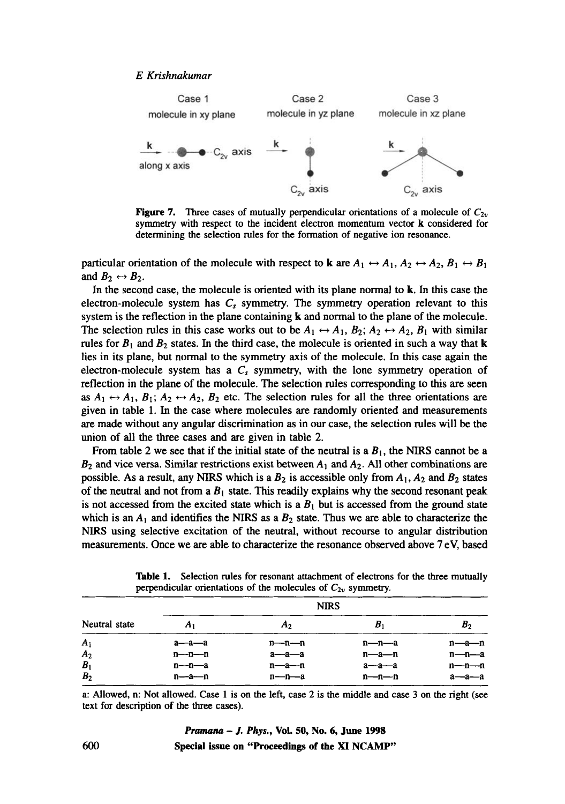

Figure 7. Three cases of mutually perpendicular orientations of a molecule of  $C_{2v}$ symmetry with respect to the incident electron momentum vector k considered for determining the selection rules for the formation of negative ion resonance.

particular orientation of the molecule with respect to k are  $A_1 \leftrightarrow A_1$ ,  $A_2 \leftrightarrow A_2$ ,  $B_1 \leftrightarrow B_1$ and  $B_2 \leftrightarrow B_2$ .

In the second case, the molecule is oriented with its plane normal to k. In this case the electron-molecule system has  $C_s$  symmetry. The symmetry operation relevant to this system is the reflection in the plane containing k and normal to the plane of the molecule. The selection rules in this case works out to be  $A_1 \leftrightarrow A_1$ ,  $B_2$ ;  $A_2 \leftrightarrow A_2$ ,  $B_1$  with similar rules for  $B_1$  and  $B_2$  states. In the third case, the molecule is oriented in such a way that **k** lies in its plane, but normal to the symmetry axis of the molecule. In this case again the electron-molecule system has a  $C_s$  symmetry, with the lone symmetry operation of reflection in the plane of the molecule. The selection rules corresponding to this are seen as  $A_1 \leftrightarrow A_1$ ,  $B_1$ ;  $A_2 \leftrightarrow A_2$ ,  $B_2$  etc. The selection rules for all the three orientations are given in table 1. In the case where molecules are randomly oriented and measurements are made without any angular discrimination as in our case, the selection rules will be the union of all the three cases and are given in table 2.

From table 2 we see that if the initial state of the neutral is a  $B_1$ , the NIRS cannot be a  $B_2$  and vice versa. Similar restrictions exist between  $A_1$  and  $A_2$ . All other combinations are possible. As a result, any NIRS which is a  $B_2$  is accessible only from  $A_1$ ,  $A_2$  and  $B_2$  states of the neutral and not from a  $B_1$  state. This readily explains why the second resonant peak is not accessed from the excited state which is a  $B_1$  but is accessed from the ground state which is an  $A_1$  and identifies the NIRS as a  $B_2$  state. Thus we are able to characterize the NIRS using selective excitation of the neutral, without recourse to angular distribution measurements. Once we are able to characterize the resonance observed above 7 eV, based

| Neutral state  | <b>NIRS</b>     |             |          |             |  |
|----------------|-----------------|-------------|----------|-------------|--|
|                | A1              | Aэ          |          | в,          |  |
| A <sub>1</sub> | $a - a - a$     | n—n—n       | n—n—a    | n—a—n       |  |
| A <sub>2</sub> | $n$ - $n$ - $n$ | $a - a - a$ | $n$ —a—n | $n - n - a$ |  |
| $B_1$          | $n - n - a$     | $n$ —a—n    | а—а—а    | $n - n - n$ |  |
| B <sub>2</sub> | $n$ —a—n        | n—n—a       | $n$ —n—n | $a_{-a-2}$  |  |

**Table** 1. Selection rules for resonant attachment of electrons for the three mutually perpendicular orientations of the molecules of  $C_{2v}$  symmetry.

**a:** Allowed, n: Not allowed. Case 1 is on the left, case 2 is the middle and case 3 on the right (see text for description of the three cases).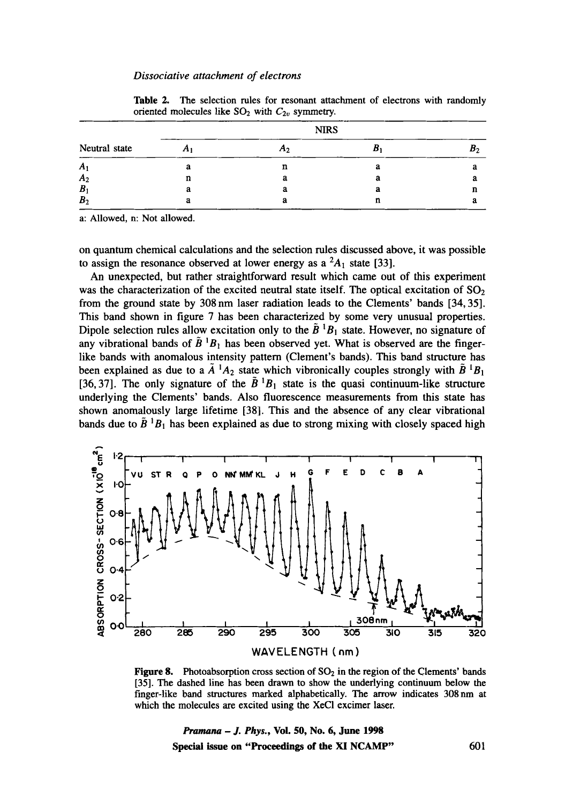| Neutral state  | <b>NIRS</b> |              |   |    |  |
|----------------|-------------|--------------|---|----|--|
|                | лı          | $\mathbf{A}$ | n | D, |  |
| $A_1$          |             |              | я |    |  |
| A <sub>2</sub> | n           |              | а |    |  |
| $B_1$          | а           |              |   | п  |  |
| B <sub>2</sub> |             | а            |   |    |  |

Table 2. The selection rules for resonant attachment of electrons with randomly oriented molecules like  $SO_2$  with  $C_{2v}$  symmetry.

a: Allowed, n: Not allowed.

on quantum chemical calculations and the selection rules discussed above, it was possible to assign the resonance observed at lower energy as a  ${}^{2}A_1$  state [33].

An unexpected, but rather straightforward result which came out of this experiment was the characterization of the excited neutral state itself. The optical excitation of  $SO<sub>2</sub>$ from the ground state by 308 nm laser radiation leads to the Clements' bands [34, 35]. This band shown in figure 7 has been characterized by some very unusual properties. Dipole selection rules allow excitation only to the  $\tilde{B}$  <sup>1</sup> $B_1$  state. However, no signature of any vibrational bands of  $\tilde{B}^{1}B_{1}$  has been observed yet. What is observed are the fingerlike bands with anomalous intensity pattern (Clement's bands). This band structure has been explained as due to a  $\tilde{A}^{-1}A_2$  state which vibronically couples strongly with  $\tilde{B}^{-1}B_1$ [36, 37]. The only signature of the  $\tilde{B}$  <sup>1</sup> $B_1$  state is the quasi continuum-like structure underlying the Clements' bands. Also fluorescence measurements from this state has shown anomalously large lifetime [38]. This and the absence of any clear vibrational bands due to  $\tilde{B}$  <sup>1</sup> $B_1$  has been explained as due to strong mixing with closely spaced high



**Figure 8.** Photoabsorption cross section of  $SO<sub>2</sub>$  in the region of the Clements' bands [35]. The dashed line has been drawn to show the underlying continuum below the finger-like band structures marked alphabetically. The arrow indicates 308 nm at which the molecules are excited using the XeCI excimer laser.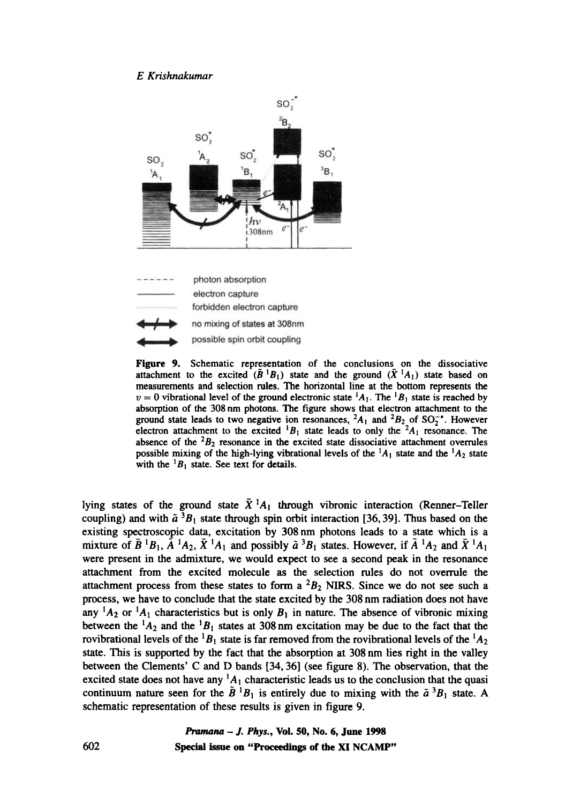



Figure 9. Schematic representation of the conclusions on the dissociative attachment to the excited  $(B^{1}B_{1})$  state and the ground  $(\tilde{X}^{1}A_{1})$  state based on measurements and selection rules. The horizontal line at the bottom represents the  $v = 0$  vibrational level of the ground electronic state  ${}^{1}A_{1}$ . The  ${}^{1}B_{1}$  state is reached by absorption of the 308 nm photons. The figure shows that electron attachment to the ground state leads to two negative ion resonances,  ${}^2A_1$  and  ${}^2B_2$  of SO<sub>2</sub><sup>\*</sup>. However electron attachment to the excited  ${}^{1}B_{1}$  state leads to only the  ${}^{2}A_{1}$  resonance. The absence of the  ${}^{2}B_{2}$  resonance in the excited state dissociative attachment overrules possible mixing of the high-lying vibrational levels of the  ${}^{1}A_1$  state and the  ${}^{1}A_2$  state with the  ${}^{1}B_1$  state. See text for details.

lying states of the ground state  $\tilde{X}$ <sup>1</sup>A<sub>1</sub> through vibronic interaction (Renner-Teller coupling) and with  $\tilde{a}^{3}B_1$  state through spin orbit interaction [36, 39]. Thus based on the existing spectroscopic data, excitation by 308 nm photons leads to a state which is a mixture of  $\tilde{B}^{1}B_1$ ,  $\tilde{A}^{1}A_2$ ,  $\tilde{X}^{1}A_1$  and possibly  $\tilde{a}^{3}B_1$  states. However, if  $\tilde{A}^{1}A_2$  and  $\tilde{X}^{1}A_1$ were present in the admixture, we would expect to see a second peak in the resonance attachment from the excited molecule as the selection rules do not overrule the attachment process from these states to form a  ${}^{2}B_{2}$  NIRS. Since we do not see such a process, we have to conclude that the state excited by the 308 nm radiation does not have any  ${}^{1}A_{2}$  or  ${}^{1}A_{1}$  characteristics but is only  $B_{1}$  in nature. The absence of vibronic mixing between the  ${}^{1}A_2$  and the  ${}^{1}B_1$  states at 308 nm excitation may be due to the fact that the rovibrational levels of the  ${}^{1}B_1$  state is far removed from the rovibrational levels of the  ${}^{1}A_2$ state. This is supported by the fact that the absorption at 308 nm lies fight in the valley between the Clements' C and D bands [34, 36] (see figure 8). The observation, that the excited state does not have any  ${}^{1}A_1$  characteristic leads us to the conclusion that the quasi continuum nature seen for the  $\tilde{B}^{1}B_1$  is entirely due to mixing with the  $\tilde{a}^{3}B_1$  state. A schematic representation of these results is given in figure 9.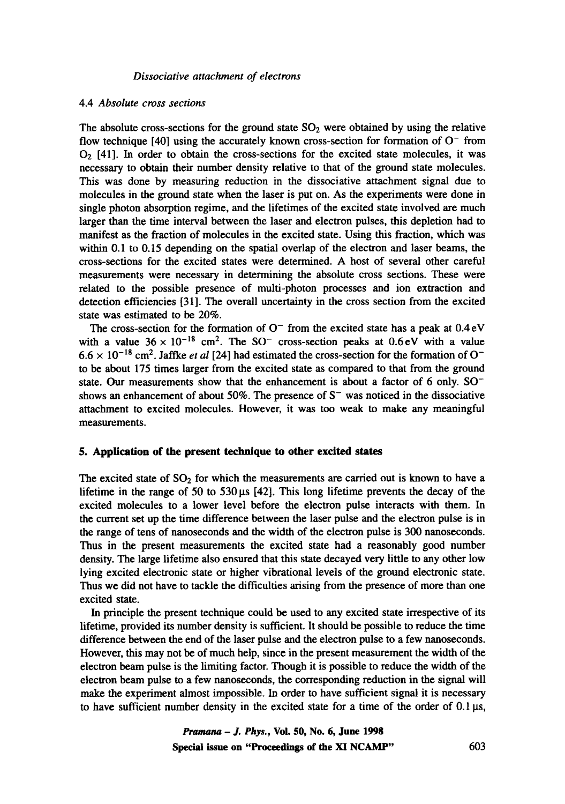#### 4.4 *Absolute cross sections*

The absolute cross-sections for the ground state  $SO<sub>2</sub>$  were obtained by using the relative flow technique [40] using the accurately known cross-section for formation of  $O^-$  from  $O<sub>2</sub>$  [41]. In order to obtain the cross-sections for the excited state molecules, it was necessary to obtain their number density relative to that of the ground state molecules. This was done by measuring reduction in the dissociative attachment signal due to molecules in the ground state when the laser is put on. As the experiments were done in single photon absorption regime, and the lifetimes of the excited state involved are much larger than the time interval between the laser and electron pulses, this depletion had to manifest as the fraction of molecules in the excited state. Using this fraction, which was within 0.1 to 0.15 depending on the spatial overlap of the electron and laser beams, the cross-sections for the excited states were determined. A host of several other careful measurements were necessary in determining the absolute cross sections. These were related to the possible presence of multi-photon processes and ion extraction and detection efficiencies [31]. The overall uncertainty in the cross section from the excited state was estimated to be 20%.

The cross-section for the formation of  $O^-$  from the excited state has a peak at 0.4 eV with a value  $36 \times 10^{-18}$  cm<sup>2</sup>. The SO<sup>-</sup> cross-section peaks at 0.6eV with a value  $6.6 \times 10^{-18}$  cm<sup>2</sup>. Jaffke *et al* [24] had estimated the cross-section for the formation of O<sup>-</sup> to be about 175 times larger from the excited state as compared to that from the ground state. Our measurements show that the enhancement is about a factor of 6 only. SOshows an enhancement of about 50%. The presence of  $S^-$  was noticed in the dissociative attachment to excited molecules. However, it was too weak to make any meaningful measurements.

# **5. Application of the present technique to other excited states**

The excited state of  $SO<sub>2</sub>$  for which the measurements are carried out is known to have a lifetime in the range of 50 to 530  $\mu s$  [42]. This long lifetime prevents the decay of the excited molecules to a lower level before the electron pulse interacts with them. In the current set up the time difference between the laser pulse and the electron pulse is in the range of tens of nanoseconds and the width of the electron pulse is 300 nanoseconds. Thus in the present measurements the excited state had a reasonably good number density. The large lifetime also ensured that this state decayed very little to any other low lying excited electronic state or higher vibrational levels of the ground electronic state. Thus we did not have to tackle the difficulties arising from the presence of more than one excited state.

In principle the present technique could be used to any excited state irrespective of its lifetime, provided its number density is sufficient. It should be possible to reduce the time difference between the end of the laser pulse and the electron pulse to a few nanoseconds. However, this may not be of much help, since in the present measurement the width of the electron beam pulse is the limiting factor. Though it is possible to reduce the width of the electron beam pulse to a few nanoseconds, the corresponding reduction in the signal will make the experiment almost impossible. In order to have sufficient signal it is necessary to have sufficient number density in the excited state for a time of the order of  $0.1 \,\mu s$ ,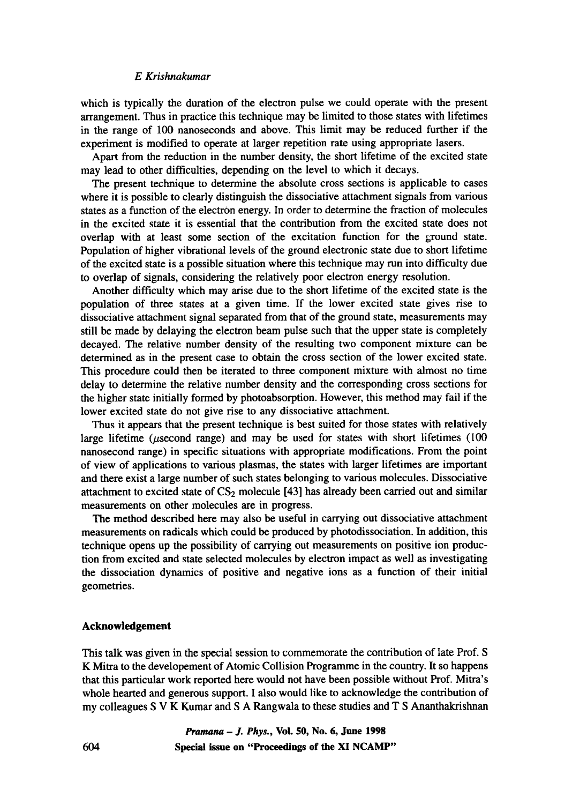which is typically the duration of the electron pulse we could operate with the present arrangement. Thus in practice this technique may be limited to those states with lifetimes in the range of 100 nanoseconds and above. This limit may be reduced further if the experiment is modified to operate at larger repetition rate using appropriate lasers.

Apart from the reduction in the number density, the short lifetime of the excited state may lead to other difficulties, depending on the level to which it decays.

The present technique to determine the absolute cross sections is applicable to cases where it is possible to clearly distinguish the dissociative attachment signals from various states as a function of the electron energy. In order to determine the fraction of molecules in the excited state it is essential that the contribution from the excited state does not overlap with at least some section of the excitation function for the ground state. Population of higher vibrational levels of the ground electronic state due to short lifetime of the excited state is a possible situation where this technique may run into difficulty due to overlap of signals, considering the relatively poor electron energy resolution.

Another difficulty which may arise due to the short lifetime of the excited state is the population of three states at a given time. If the lower excited state gives rise to dissociative attachment signal separated from that of the ground state, measurements may still be made by delaying the electron beam pulse such that the upper state is completely decayed. The relative number density of the resulting two component mixture can be determined as in the present case to obtain the cross section of the lower excited state. This procedure could then be iterated to three component mixture with almost no time delay to determine the relative number density and the corresponding cross sections for the higher state initially formed by photoabsorption. However, this method may fail if the lower excited state do not give rise to any dissociative attachment.

Thus it appears that the present technique is best suited for those states with relatively large lifetime ( $\mu$ second range) and may be used for states with short lifetimes (100) nanosecond range) in specific situations with appropriate modifications. From the point of view of applications to various plasmas, the states with larger lifetimes are important and there exist a large number of such states belonging to various molecules. Dissociative attachment to excited state of  $CS_2$  molecule [43] has already been carried out and similar measurements on other molecules are in progress.

The method described here may also be useful in carrying out dissociative attachment measurements on radicals which could be produced by photodissociation. In addition, this technique opens up the possibility of carrying out measurements on positive ion production from excited and state selected molecules by electron impact as well as investigating the dissociation dynamics of positive and negative ions as a function of their initial geometries.

# **Acknowledgement**

This talk was given in the special session to commemorate the contribution of late Prof. S K Mitra to the developement of Atomic Collision Programme in the country. It so happens that this particular work reported here would not have been possible without Prof. Mitra's whole hearted and generous support. I also would like to acknowledge the contribution of my colleagues S V K Kumar and S A Rangwala to these studies and T S Ananthakrishnan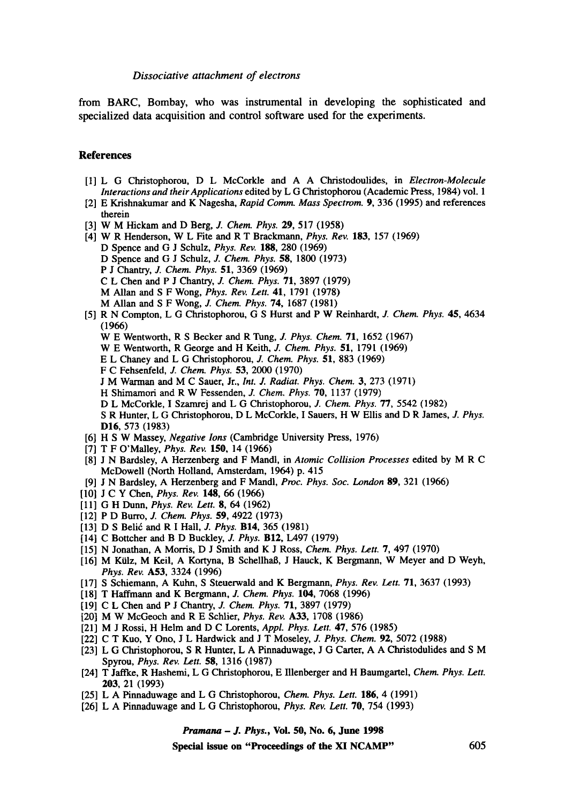from BARC, Bombay, who was instrumental in developing the sophisticated and specialized data acquisition and control software used for the experiments.

#### **References**

- [1] L G Christophorou, D L McCorkle and A A Christodoulides, in *Electron-Molecule Interactions and their Applications* edited by L G Christophorou (Academic Press, 1984) vol. 1
- [2] E Krishnakumar and K Nagesha, *Rapid Comm. Mass Spectrom.* 9, 336 (1995) and references therein
- [3] W M Hickam and D Berg, *J. Chem. Phys.* 29, 517 (1958)
- [4] W R Henderson, W L Fite and R T Brackmann, *Phys. Rev.* 183, 157 (1969) D Spence and G J Schulz, *Phys. Rev. 188,* 280 (1969) D Spence and G J Schulz, *J. Chem. Phys.* 58, 1800 (1973) P J Chantry, *J. Chem. Phys.* 51, 3369 (1969) C L Chen and P J Chantry, *J. Chem. Phys.* 71, 3897 (1979) M Allan and S F Wong, *Phys. Rev. Lett.* 41, 1791 (1978) M Allan and S F Wong, *J. Chem. Phys.* 74, 1687 (1981) [5] R N Compton, L G Christophorou, G S Hurst and P W Reinhardt, *J. Chem. Phys.* 45, 4634
- (1966) W E Wentworth, R S Becker and R Tung, J. *Phys. Chem.* 71, 1652 (1967)
	- W E Wentworth, R George and H Keith, *£ Chem. Phys.* 51, 1791 (1969)
	- E L Chaney and L G Christophorou, *£ Chem. Phys.* 51, 883 (1969)
	- F C Fehsenfeld, *J. Chem. Phys.* 53, 2000 (1970)
	- J M Warman and M C Sauer, Jr., *Int. J. Radiat. Phys. Chem.* 3, 273 (1971)
	- H Shimamori and R W Fessenden, *J. Chem. Phys.* 70, 1137 (1979)
	- D L McCorkle, I Szamrej and L G Christophorou, *J. Chem. Phys.* 77, 5542 (1982)
	- S R Hunter, L G Christophorou, D L McCorkle, I Sauers, H W Ellis and D R James, *J. Phys.*  D16, 573 (1983)
- [6] H S W Massey, *Negative Ions* (Cambridge University Press, 1976)
- [7] T F O'Malley, *Phys. Rev.* 150, 14 (1966)
- [8] J N Bardsley, A Herzenberg and F Mandl, in *Atomic Collision Processes* edited by M R C McDowell (North Holland, Amsterdam, 1964) p. 415
- [9] J N Bardsley, A Herzenberg and F Mandl, *Proc. Phys. Soc. London* **89,** 321 (1966)
- [10] J C Y Chen, *Phys. Rev.* 148, 66 (1966)
- [ 11 ] G H Dunn, *Phys. Rev. Lett.* 8, 64 (1962)
- [12] P D Burro, *J. Chem. Phys.* 59, 4922 (1973)
- [13] D S Belid and R I Hall, *J. Phys.* B14, 365 (1981)
- [14] C Bottcher and B D Buckley, *J. Phys.* B12, L497 (1979)
- [15] N Jonathan, A Morris, D J Smith and K J Ross, *Chem. Phys. Lett.* 7, 497 (1970)
- [16] M Külz, M Keil, A Kortyna, B Schellhaß, J Hauck, K Bergmann, W Meyer and D Weyh, *Phys. Rev.* A53, 3324 (1996)
- [17] S Schiemann, A Kuhn, S Steuerwald and K Bergmann, *Phys. Rev. Lett.* 71, 3637 (1993)
- [18] T Haffmann and K Bergmann, *J. Chem. Phys.* 104, 7068 (1996)
- [19] C L Chen and P J Chantry, *£ Chem. Phys.* 71, 3897 (1979)
- [20] M W McGeoch and R E Schlier, *Phys. Rev.* A33, 1708 (1986)
- [21] M J Rossi, H Helm and D C Lorents, *AppL Phys. Lett.* 47, 576 (1985)
- [22] C T Kuo, Y Ono, J L Hardwick and J T Moseley, J. *Phys. Chem.* 92, 5072 (1988)
- [23] L G Christophorou, S R Hunter, L A Pinnaduwage, J G Carter, A A Christodulides and S M Spyrou, *Phys. Rev. Lett.* 58, 1316 (1987)
- [24] T Jaffke, R Hashemi, L G Christophorou, E Illenberger and H Baumgartel, *Chem. Phys. Lett.*  **203,** 21 (1993)
- [25] L A Pinnaduwage and L G Christophorou, *Chem. Phys.* Lett. 186, 4 (1991)
- [26] L A Pinnaduwage and L G Christophorou, *Phys. Rev. Lett.* 70, 754 (1993)

*Pramana - J. Phys.,* **Vol. 50, No. 6, June 1998** 

Special issue on "Proceedings of the XI NCAMP" 605